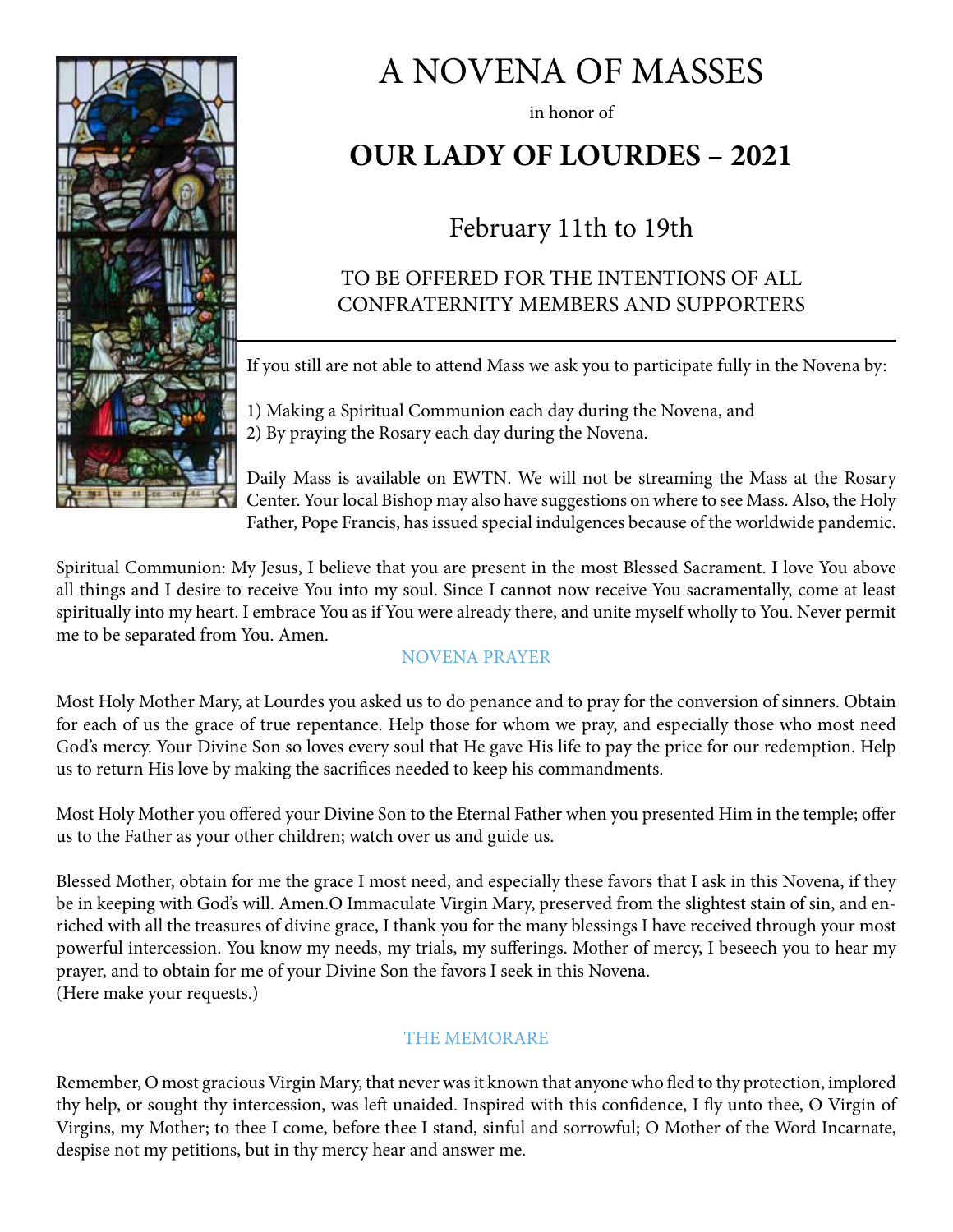

# A NOVENA OF MASSES

in honor of

# **OUR LADY OF LOURDES – 2021**

# February 11th to 19th

## TO BE OFFERED FOR THE INTENTIONS OF ALL CONFRATERNITY MEMBERS AND SUPPORTERS

If you still are not able to attend Mass we ask you to participate fully in the Novena by:

1) Making a Spiritual Communion each day during the Novena, and 2) By praying the Rosary each day during the Novena.

Daily Mass is available on EWTN. We will not be streaming the Mass at the Rosary Center. Your local Bishop may also have suggestions on where to see Mass. Also, the Holy Father, Pope Francis, has issued special indulgences because of the worldwide pandemic.

Spiritual Communion: My Jesus, I believe that you are present in the most Blessed Sacrament. I love You above all things and I desire to receive You into my soul. Since I cannot now receive You sacramentally, come at least spiritually into my heart. I embrace You as if You were already there, and unite myself wholly to You. Never permit me to be separated from You. Amen.

#### NOVENA PRAYER

Most Holy Mother Mary, at Lourdes you asked us to do penance and to pray for the conversion of sinners. Obtain for each of us the grace of true repentance. Help those for whom we pray, and especially those who most need God's mercy. Your Divine Son so loves every soul that He gave His life to pay the price for our redemption. Help us to return His love by making the sacrifices needed to keep his commandments.

Most Holy Mother you offered your Divine Son to the Eternal Father when you presented Him in the temple; offer us to the Father as your other children; watch over us and guide us.

Blessed Mother, obtain for me the grace I most need, and especially these favors that I ask in this Novena, if they be in keeping with God's will. Amen.O Immaculate Virgin Mary, preserved from the slightest stain of sin, and enriched with all the treasures of divine grace, I thank you for the many blessings I have received through your most powerful intercession. You know my needs, my trials, my sufferings. Mother of mercy, I beseech you to hear my prayer, and to obtain for me of your Divine Son the favors I seek in this Novena. (Here make your requests.)

#### THE MEMORARE

Remember, O most gracious Virgin Mary, that never was it known that anyone who fled to thy protection, implored thy help, or sought thy intercession, was left unaided. Inspired with this confidence, I fly unto thee, O Virgin of Virgins, my Mother; to thee I come, before thee I stand, sinful and sorrowful; O Mother of the Word Incarnate, despise not my petitions, but in thy mercy hear and answer me.